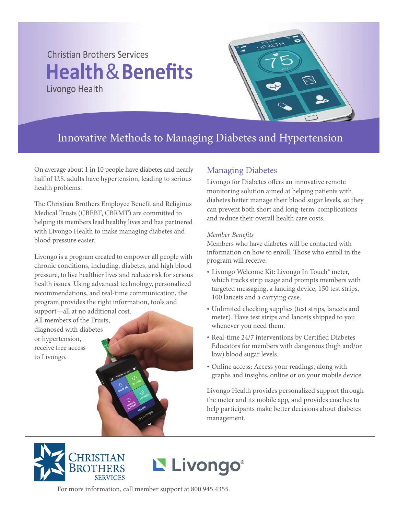# Christian Brothers Services **Health**&**Benefits** Livongo Health



## Innovative Methods to Managing Diabetes and Hypertension

On average about 1 in 10 people have diabetes and nearly half of U.S. adults have hypertension, leading to serious health problems.

The Christian Brothers Employee Benefit and Religious Medical Trusts (CBEBT, CBRMT) are committed to helping its members lead healthy lives and has partnered with Livongo Health to make managing diabetes and blood pressure easier.

Livongo is a program created to empower all people with chronic conditions, including, diabetes, and high blood pressure, to live healthier lives and reduce risk for serious health issues. Using advanced technology, personalized recommendations, and real-time communication, the program provides the right information, tools and

support—all at no additional cost. All members of the Trusts, diagnosed with diabetes or hypertension, receive free access to Livongo.

## Managing Diabetes

Livongo for Diabetes offers an innovative remote monitoring solution aimed at helping patients with diabetes better manage their blood sugar levels, so they can prevent both short and long-term complications and reduce their overall health care costs.

#### *Member Benets*

Members who have diabetes will be contacted with information on how to enroll. Those who enroll in the program will receive:

- Livongo Welcome Kit: Livongo In Touch® meter, which tracks strip usage and prompts members with targeted messaging, a lancing device, 150 test strips, 100 lancets and a carrying case.
- Unlimited checking supplies (test strips, lancets and meter). Have test strips and lancets shipped to you whenever you need them.
- Real-time 24/7 interventions by Certified Diabetes Educators for members with dangerous (high and/or low) blood sugar levels.
- Online access: Access your readings, along with graphs and insights, online or on your mobile device.

Livongo Health provides personalized support through the meter and its mobile app, and provides coaches to help participants make better decisions about diabetes management.





For more information, call member support at 800.945.4355.